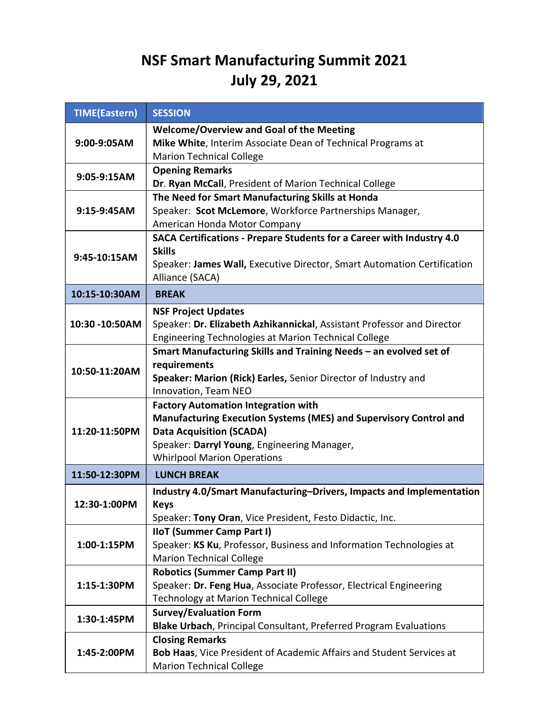# NSF Smart Manufacturing Summit 2021 July 29, 2021

| <b>TIME(Eastern)</b> | <b>SESSION</b>                                                                                                                                                                                                                          |
|----------------------|-----------------------------------------------------------------------------------------------------------------------------------------------------------------------------------------------------------------------------------------|
| 9:00-9:05AM          | <b>Welcome/Overview and Goal of the Meeting</b><br>Mike White, Interim Associate Dean of Technical Programs at<br><b>Marion Technical College</b>                                                                                       |
| 9:05-9:15AM          | <b>Opening Remarks</b><br>Dr. Ryan McCall, President of Marion Technical College                                                                                                                                                        |
| 9:15-9:45AM          | The Need for Smart Manufacturing Skills at Honda<br>Speaker: Scot McLemore, Workforce Partnerships Manager,<br>American Honda Motor Company                                                                                             |
| 9:45-10:15AM         | SACA Certifications - Prepare Students for a Career with Industry 4.0<br><b>Skills</b><br>Speaker: James Wall, Executive Director, Smart Automation Certification<br>Alliance (SACA)                                                    |
| 10:15-10:30AM        | <b>BREAK</b>                                                                                                                                                                                                                            |
| 10:30 -10:50AM       | <b>NSF Project Updates</b><br>Speaker: Dr. Elizabeth Azhikannickal, Assistant Professor and Director<br>Engineering Technologies at Marion Technical College                                                                            |
| 10:50-11:20AM        | Smart Manufacturing Skills and Training Needs - an evolved set of<br>requirements<br>Speaker: Marion (Rick) Earles, Senior Director of Industry and<br>Innovation, Team NEO                                                             |
| 11:20-11:50PM        | <b>Factory Automation Integration with</b><br>Manufacturing Execution Systems (MES) and Supervisory Control and<br><b>Data Acquisition (SCADA)</b><br>Speaker: Darryl Young, Engineering Manager,<br><b>Whirlpool Marion Operations</b> |
| 11:50-12:30PM        | <b>LUNCH BREAK</b>                                                                                                                                                                                                                      |
| 12:30-1:00PM         | Industry 4.0/Smart Manufacturing-Drivers, Impacts and Implementation<br><b>Keys</b><br>Speaker: Tony Oran, Vice President, Festo Didactic, Inc.                                                                                         |
| 1:00-1:15PM          | <b>IIoT (Summer Camp Part I)</b><br>Speaker: KS Ku, Professor, Business and Information Technologies at<br><b>Marion Technical College</b>                                                                                              |
| 1:15-1:30PM          | <b>Robotics (Summer Camp Part II)</b><br>Speaker: Dr. Feng Hua, Associate Professor, Electrical Engineering<br><b>Technology at Marion Technical College</b>                                                                            |
| 1:30-1:45PM          | <b>Survey/Evaluation Form</b><br>Blake Urbach, Principal Consultant, Preferred Program Evaluations                                                                                                                                      |
| 1:45-2:00PM          | <b>Closing Remarks</b><br>Bob Haas, Vice President of Academic Affairs and Student Services at<br><b>Marion Technical College</b>                                                                                                       |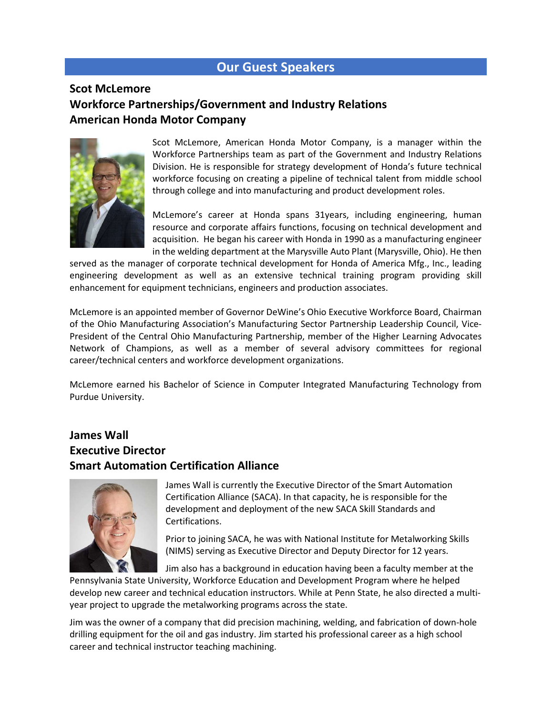## Our Guest Speakers

#### Scot McLemore Workforce Partnerships/Government and Industry Relations American Honda Motor Company



Scot McLemore, American Honda Motor Company, is a manager within the Workforce Partnerships team as part of the Government and Industry Relations Division. He is responsible for strategy development of Honda's future technical workforce focusing on creating a pipeline of technical talent from middle school through college and into manufacturing and product development roles.

McLemore's career at Honda spans 31years, including engineering, human resource and corporate affairs functions, focusing on technical development and acquisition. He began his career with Honda in 1990 as a manufacturing engineer in the welding department at the Marysville Auto Plant (Marysville, Ohio). He then

served as the manager of corporate technical development for Honda of America Mfg., Inc., leading engineering development as well as an extensive technical training program providing skill enhancement for equipment technicians, engineers and production associates.

McLemore is an appointed member of Governor DeWine's Ohio Executive Workforce Board, Chairman of the Ohio Manufacturing Association's Manufacturing Sector Partnership Leadership Council, Vice-President of the Central Ohio Manufacturing Partnership, member of the Higher Learning Advocates Network of Champions, as well as a member of several advisory committees for regional career/technical centers and workforce development organizations.

McLemore earned his Bachelor of Science in Computer Integrated Manufacturing Technology from Purdue University.

#### James Wall Executive Director Smart Automation Certification Alliance



James Wall is currently the Executive Director of the Smart Automation Certification Alliance (SACA). In that capacity, he is responsible for the development and deployment of the new SACA Skill Standards and Certifications.

Prior to joining SACA, he was with National Institute for Metalworking Skills (NIMS) serving as Executive Director and Deputy Director for 12 years.

Jim also has a background in education having been a faculty member at the

Pennsylvania State University, Workforce Education and Development Program where he helped develop new career and technical education instructors. While at Penn State, he also directed a multiyear project to upgrade the metalworking programs across the state.

Jim was the owner of a company that did precision machining, welding, and fabrication of down-hole drilling equipment for the oil and gas industry. Jim started his professional career as a high school career and technical instructor teaching machining.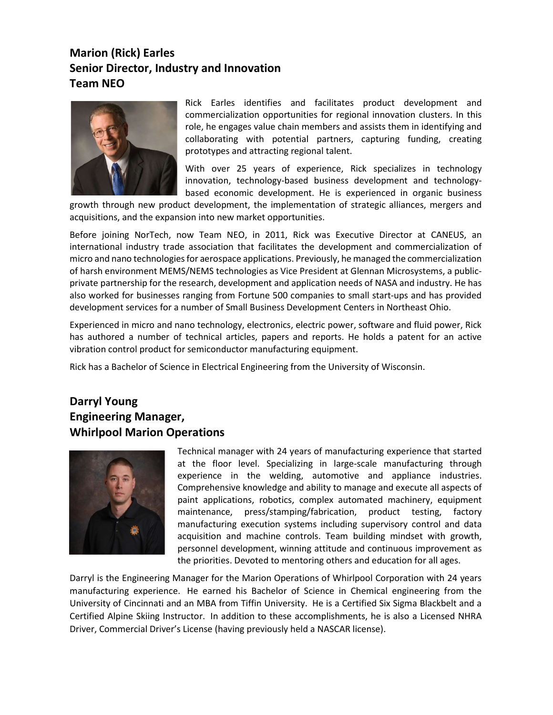## Marion (Rick) Earles Senior Director, Industry and Innovation Team NEO



Rick Earles identifies and facilitates product development and commercialization opportunities for regional innovation clusters. In this role, he engages value chain members and assists them in identifying and collaborating with potential partners, capturing funding, creating prototypes and attracting regional talent.

With over 25 years of experience, Rick specializes in technology innovation, technology-based business development and technologybased economic development. He is experienced in organic business

growth through new product development, the implementation of strategic alliances, mergers and acquisitions, and the expansion into new market opportunities.

Before joining NorTech, now Team NEO, in 2011, Rick was Executive Director at CANEUS, an international industry trade association that facilitates the development and commercialization of micro and nano technologies for aerospace applications. Previously, he managed the commercialization of harsh environment MEMS/NEMS technologies as Vice President at Glennan Microsystems, a publicprivate partnership for the research, development and application needs of NASA and industry. He has also worked for businesses ranging from Fortune 500 companies to small start-ups and has provided development services for a number of Small Business Development Centers in Northeast Ohio.

Experienced in micro and nano technology, electronics, electric power, software and fluid power, Rick has authored a number of technical articles, papers and reports. He holds a patent for an active vibration control product for semiconductor manufacturing equipment.

Rick has a Bachelor of Science in Electrical Engineering from the University of Wisconsin.

#### Darryl Young Engineering Manager, Whirlpool Marion Operations



Technical manager with 24 years of manufacturing experience that started at the floor level. Specializing in large-scale manufacturing through experience in the welding, automotive and appliance industries. Comprehensive knowledge and ability to manage and execute all aspects of paint applications, robotics, complex automated machinery, equipment maintenance, press/stamping/fabrication, product testing, factory manufacturing execution systems including supervisory control and data acquisition and machine controls. Team building mindset with growth, personnel development, winning attitude and continuous improvement as the priorities. Devoted to mentoring others and education for all ages.

Darryl is the Engineering Manager for the Marion Operations of Whirlpool Corporation with 24 years manufacturing experience. He earned his Bachelor of Science in Chemical engineering from the University of Cincinnati and an MBA from Tiffin University. He is a Certified Six Sigma Blackbelt and a Certified Alpine Skiing Instructor. In addition to these accomplishments, he is also a Licensed NHRA Driver, Commercial Driver's License (having previously held a NASCAR license).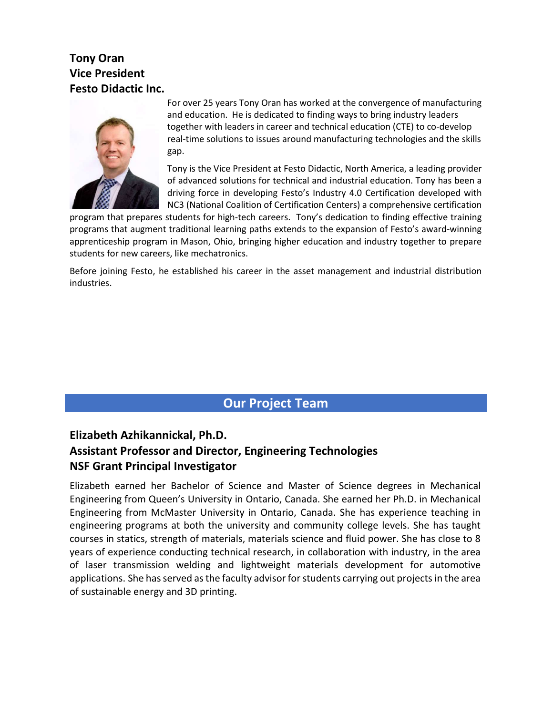### Tony Oran Vice President Festo Didactic Inc.



For over 25 years Tony Oran has worked at the convergence of manufacturing and education. He is dedicated to finding ways to bring industry leaders together with leaders in career and technical education (CTE) to co-develop real-time solutions to issues around manufacturing technologies and the skills gap.

Tony is the Vice President at Festo Didactic, North America, a leading provider of advanced solutions for technical and industrial education. Tony has been a driving force in developing Festo's Industry 4.0 Certification developed with NC3 (National Coalition of Certification Centers) a comprehensive certification

program that prepares students for high-tech careers. Tony's dedication to finding effective training programs that augment traditional learning paths extends to the expansion of Festo's award-winning apprenticeship program in Mason, Ohio, bringing higher education and industry together to prepare students for new careers, like mechatronics.

Before joining Festo, he established his career in the asset management and industrial distribution industries.

## Our Project Team

## Elizabeth Azhikannickal, Ph.D. Assistant Professor and Director, Engineering Technologies NSF Grant Principal Investigator

Elizabeth earned her Bachelor of Science and Master of Science degrees in Mechanical Engineering from Queen's University in Ontario, Canada. She earned her Ph.D. in Mechanical Engineering from McMaster University in Ontario, Canada. She has experience teaching in engineering programs at both the university and community college levels. She has taught courses in statics, strength of materials, materials science and fluid power. She has close to 8 years of experience conducting technical research, in collaboration with industry, in the area of laser transmission welding and lightweight materials development for automotive applications. She has served as the faculty advisor for students carrying out projects in the area of sustainable energy and 3D printing.